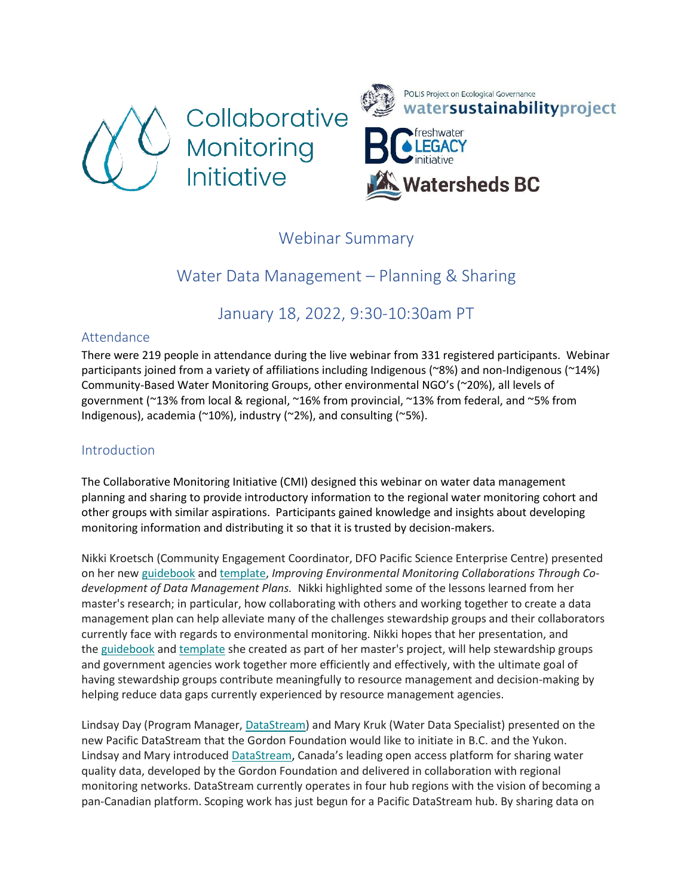



# Webinar Summary

# Water Data Management – Planning & Sharing

# January 18, 2022, 9:30-10:30am PT

# Attendance

There were 219 people in attendance during the live webinar from 331 registered participants. Webinar participants joined from a variety of affiliations including Indigenous (~8%) and non-Indigenous (~14%) Community-Based Water Monitoring Groups, other environmental NGO's (~20%), all levels of government (~13% from local & regional, ~16% from provincial, ~13% from federal, and ~5% from Indigenous), academia (~10%), industry (~2%), and consulting (~5%).

# Introduction

The Collaborative Monitoring Initiative (CMI) designed this webinar on water data management planning and sharing to provide introductory information to the regional water monitoring cohort and other groups with similar aspirations. Participants gained knowledge and insights about developing monitoring information and distributing it so that it is trusted by decision-makers.

Nikki Kroetsch (Community Engagement Coordinator, DFO Pacific Science Enterprise Centre) presented on her new [guidebook](https://poliswaterproject.us1.list-manage.com/track/click?u=389657c8f0bdbc7fc5e9dc59d&id=07073f7287&e=0ea6590233) and [template,](https://poliswaterproject.us1.list-manage.com/track/click?u=389657c8f0bdbc7fc5e9dc59d&id=cb1a8e66c6&e=0ea6590233) *Improving Environmental Monitoring Collaborations Through Codevelopment of Data Management Plans.* Nikki highlighted some of the lessons learned from her master's research; in particular, how collaborating with others and working together to create a data management plan can help alleviate many of the challenges stewardship groups and their collaborators currently face with regards to environmental monitoring. Nikki hopes that her presentation, and the [guidebook](https://poliswaterproject.us1.list-manage.com/track/click?u=389657c8f0bdbc7fc5e9dc59d&id=940db5aa14&e=0ea6590233) and [template](https://poliswaterproject.us1.list-manage.com/track/click?u=389657c8f0bdbc7fc5e9dc59d&id=9b435b431a&e=0ea6590233) she created as part of her master's project, will help stewardship groups and government agencies work together more efficiently and effectively, with the ultimate goal of having stewardship groups contribute meaningfully to resource management and decision-making by helping reduce data gaps currently experienced by resource management agencies.

Lindsay Day (Program Manager, [DataStream\)](https://poliswaterproject.us1.list-manage.com/track/click?u=389657c8f0bdbc7fc5e9dc59d&id=e655390049&e=0ea6590233) and Mary Kruk (Water Data Specialist) presented on the new Pacific DataStream that the Gordon Foundation would like to initiate in B.C. and the Yukon. Lindsay and Mary introduced [DataStream,](https://poliswaterproject.us1.list-manage.com/track/click?u=389657c8f0bdbc7fc5e9dc59d&id=50d6ea5500&e=0ea6590233) Canada's leading open access platform for sharing water quality data, developed by the Gordon Foundation and delivered in collaboration with regional monitoring networks. DataStream currently operates in four hub regions with the vision of becoming a pan-Canadian platform. Scoping work has just begun for a Pacific DataStream hub. By sharing data on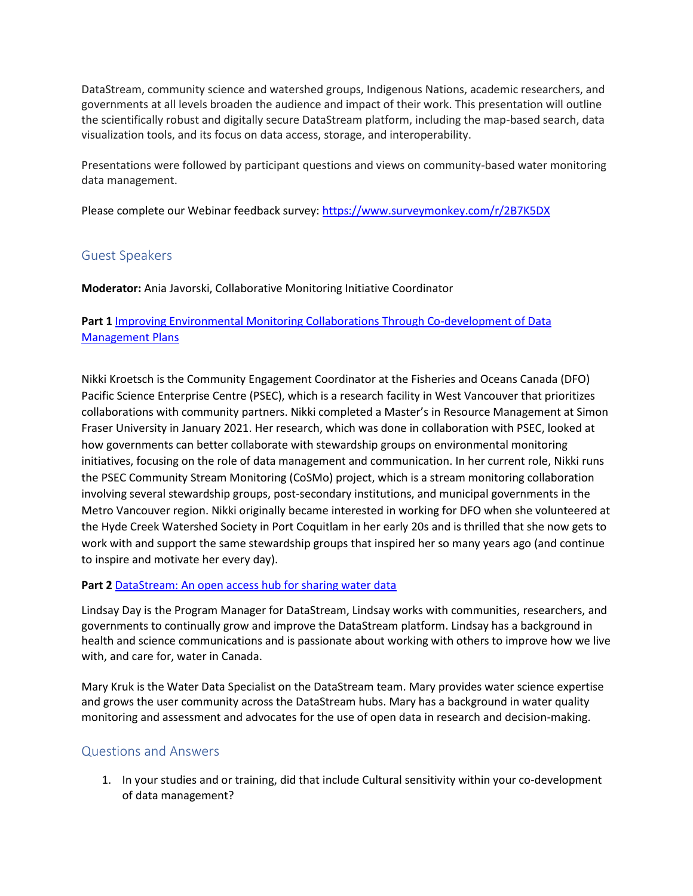DataStream, community science and watershed groups, Indigenous Nations, academic researchers, and governments at all levels broaden the audience and impact of their work. This presentation will outline the scientifically robust and digitally secure DataStream platform, including the map-based search, data visualization tools, and its focus on data access, storage, and interoperability.

Presentations were followed by participant questions and views on community-based water monitoring data management.

Please complete our Webinar feedback survey[: https://www.surveymonkey.com/r/2B7K5DX](https://www.surveymonkey.com/r/2B7K5DX)

# Guest Speakers

**Moderator:** Ania Javorski, Collaborative Monitoring Initiative Coordinator

## **Part 1** [Improving Environmental Monitoring Collaborations Through Co-development of Data](https://sparkjoy.org/polis/files/2022/02/Nikki-Kroetsch-Improving-Environmental-Monitoring-Collaborations-Through-Co-development-of-Data-Management-Plans.pdf)  [Management Plans](https://sparkjoy.org/polis/files/2022/02/Nikki-Kroetsch-Improving-Environmental-Monitoring-Collaborations-Through-Co-development-of-Data-Management-Plans.pdf)

Nikki Kroetsch is the Community Engagement Coordinator at the Fisheries and Oceans Canada (DFO) Pacific Science Enterprise Centre (PSEC), which is a research facility in West Vancouver that prioritizes collaborations with community partners. Nikki completed a Master's in Resource Management at Simon Fraser University in January 2021. Her research, which was done in collaboration with PSEC, looked at how governments can better collaborate with stewardship groups on environmental monitoring initiatives, focusing on the role of data management and communication. In her current role, Nikki runs the PSEC Community Stream Monitoring (CoSMo) project, which is a stream monitoring collaboration involving several stewardship groups, post-secondary institutions, and municipal governments in the Metro Vancouver region. Nikki originally became interested in working for DFO when she volunteered at the Hyde Creek Watershed Society in Port Coquitlam in her early 20s and is thrilled that she now gets to work with and support the same stewardship groups that inspired her so many years ago (and continue to inspire and motivate her every day).

#### **Part 2** [DataStream: An open access hub for sharing water data](https://sparkjoy.org/polis/files/2022/02/Lindsay-Day-and-Mary-Kruk-DataStream-An-open-access-hub-for-sharing-water-data.pdf)

Lindsay Day is the Program Manager for DataStream, Lindsay works with communities, researchers, and governments to continually grow and improve the DataStream platform. Lindsay has a background in health and science communications and is passionate about working with others to improve how we live with, and care for, water in Canada.

Mary Kruk is the Water Data Specialist on the DataStream team. Mary provides water science expertise and grows the user community across the DataStream hubs. Mary has a background in water quality monitoring and assessment and advocates for the use of open data in research and decision-making.

### Questions and Answers

1. In your studies and or training, did that include Cultural sensitivity within your co-development of data management?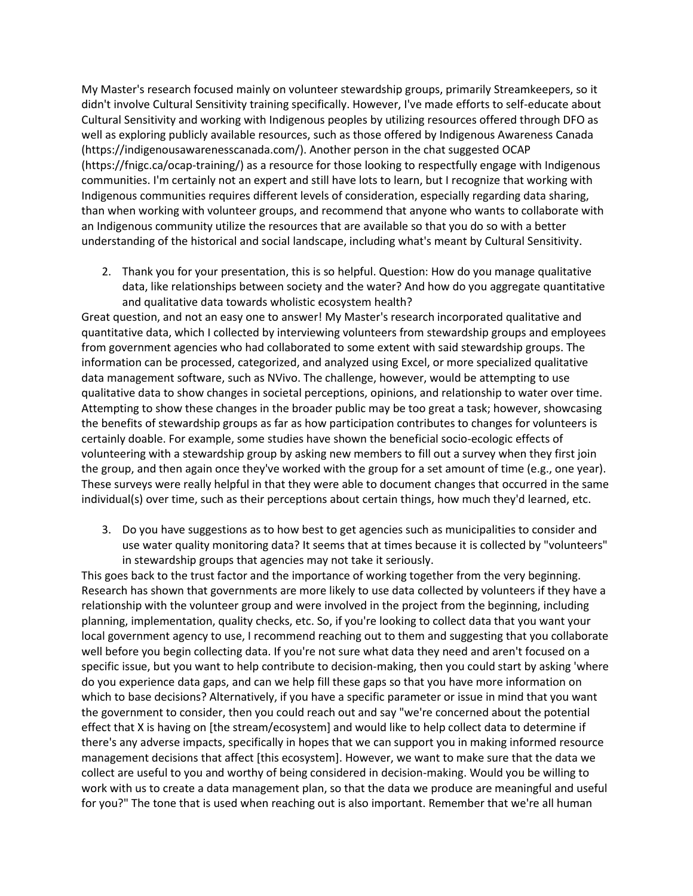My Master's research focused mainly on volunteer stewardship groups, primarily Streamkeepers, so it didn't involve Cultural Sensitivity training specifically. However, I've made efforts to self-educate about Cultural Sensitivity and working with Indigenous peoples by utilizing resources offered through DFO as well as exploring publicly available resources, such as those offered by Indigenous Awareness Canada (https://indigenousawarenesscanada.com/). Another person in the chat suggested OCAP (https://fnigc.ca/ocap-training/) as a resource for those looking to respectfully engage with Indigenous communities. I'm certainly not an expert and still have lots to learn, but I recognize that working with Indigenous communities requires different levels of consideration, especially regarding data sharing, than when working with volunteer groups, and recommend that anyone who wants to collaborate with an Indigenous community utilize the resources that are available so that you do so with a better understanding of the historical and social landscape, including what's meant by Cultural Sensitivity.

2. Thank you for your presentation, this is so helpful. Question: How do you manage qualitative data, like relationships between society and the water? And how do you aggregate quantitative and qualitative data towards wholistic ecosystem health?

Great question, and not an easy one to answer! My Master's research incorporated qualitative and quantitative data, which I collected by interviewing volunteers from stewardship groups and employees from government agencies who had collaborated to some extent with said stewardship groups. The information can be processed, categorized, and analyzed using Excel, or more specialized qualitative data management software, such as NVivo. The challenge, however, would be attempting to use qualitative data to show changes in societal perceptions, opinions, and relationship to water over time. Attempting to show these changes in the broader public may be too great a task; however, showcasing the benefits of stewardship groups as far as how participation contributes to changes for volunteers is certainly doable. For example, some studies have shown the beneficial socio-ecologic effects of volunteering with a stewardship group by asking new members to fill out a survey when they first join the group, and then again once they've worked with the group for a set amount of time (e.g., one year). These surveys were really helpful in that they were able to document changes that occurred in the same individual(s) over time, such as their perceptions about certain things, how much they'd learned, etc.

3. Do you have suggestions as to how best to get agencies such as municipalities to consider and use water quality monitoring data? It seems that at times because it is collected by "volunteers" in stewardship groups that agencies may not take it seriously.

This goes back to the trust factor and the importance of working together from the very beginning. Research has shown that governments are more likely to use data collected by volunteers if they have a relationship with the volunteer group and were involved in the project from the beginning, including planning, implementation, quality checks, etc. So, if you're looking to collect data that you want your local government agency to use, I recommend reaching out to them and suggesting that you collaborate well before you begin collecting data. If you're not sure what data they need and aren't focused on a specific issue, but you want to help contribute to decision-making, then you could start by asking 'where do you experience data gaps, and can we help fill these gaps so that you have more information on which to base decisions? Alternatively, if you have a specific parameter or issue in mind that you want the government to consider, then you could reach out and say "we're concerned about the potential effect that X is having on [the stream/ecosystem] and would like to help collect data to determine if there's any adverse impacts, specifically in hopes that we can support you in making informed resource management decisions that affect [this ecosystem]. However, we want to make sure that the data we collect are useful to you and worthy of being considered in decision-making. Would you be willing to work with us to create a data management plan, so that the data we produce are meaningful and useful for you?" The tone that is used when reaching out is also important. Remember that we're all human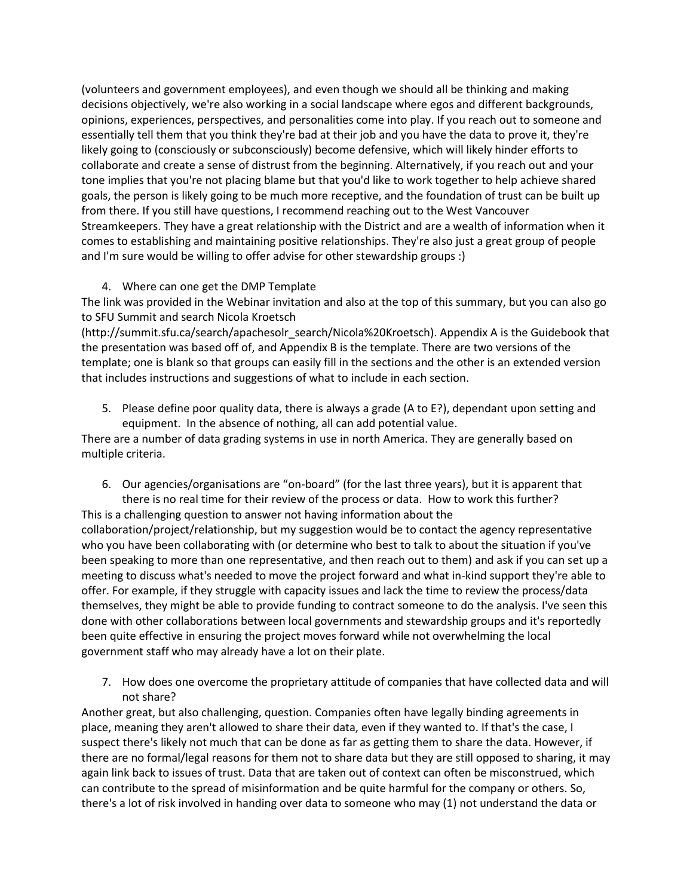(volunteers and government employees), and even though we should all be thinking and making decisions objectively, we're also working in a social landscape where egos and different backgrounds, opinions, experiences, perspectives, and personalities come into play. If you reach out to someone and essentially tell them that you think they're bad at their job and you have the data to prove it, they're likely going to (consciously or subconsciously) become defensive, which will likely hinder efforts to collaborate and create a sense of distrust from the beginning. Alternatively, if you reach out and your tone implies that you're not placing blame but that you'd like to work together to help achieve shared goals, the person is likely going to be much more receptive, and the foundation of trust can be built up from there. If you still have questions, I recommend reaching out to the West Vancouver Streamkeepers. They have a great relationship with the District and are a wealth of information when it comes to establishing and maintaining positive relationships. They're also just a great group of people and I'm sure would be willing to offer advise for other stewardship groups :)

### 4. Where can one get the DMP Template

The link was provided in the Webinar invitation and also at the top of this summary, but you can also go to SFU Summit and search Nicola Kroetsch

(http://summit.sfu.ca/search/apachesolr\_search/Nicola%20Kroetsch). Appendix A is the Guidebook that the presentation was based off of, and Appendix B is the template. There are two versions of the template; one is blank so that groups can easily fill in the sections and the other is an extended version that includes instructions and suggestions of what to include in each section.

5. Please define poor quality data, there is always a grade (A to E?), dependant upon setting and equipment. In the absence of nothing, all can add potential value.

There are a number of data grading systems in use in north America. They are generally based on multiple criteria.

6. Our agencies/organisations are "on-board" (for the last three years), but it is apparent that there is no real time for their review of the process or data. How to work this further?

This is a challenging question to answer not having information about the collaboration/project/relationship, but my suggestion would be to contact the agency representative who you have been collaborating with (or determine who best to talk to about the situation if you've been speaking to more than one representative, and then reach out to them) and ask if you can set up a meeting to discuss what's needed to move the project forward and what in-kind support they're able to offer. For example, if they struggle with capacity issues and lack the time to review the process/data themselves, they might be able to provide funding to contract someone to do the analysis. I've seen this done with other collaborations between local governments and stewardship groups and it's reportedly been quite effective in ensuring the project moves forward while not overwhelming the local government staff who may already have a lot on their plate.

7. How does one overcome the proprietary attitude of companies that have collected data and will not share?

Another great, but also challenging, question. Companies often have legally binding agreements in place, meaning they aren't allowed to share their data, even if they wanted to. If that's the case, I suspect there's likely not much that can be done as far as getting them to share the data. However, if there are no formal/legal reasons for them not to share data but they are still opposed to sharing, it may again link back to issues of trust. Data that are taken out of context can often be misconstrued, which can contribute to the spread of misinformation and be quite harmful for the company or others. So, there's a lot of risk involved in handing over data to someone who may (1) not understand the data or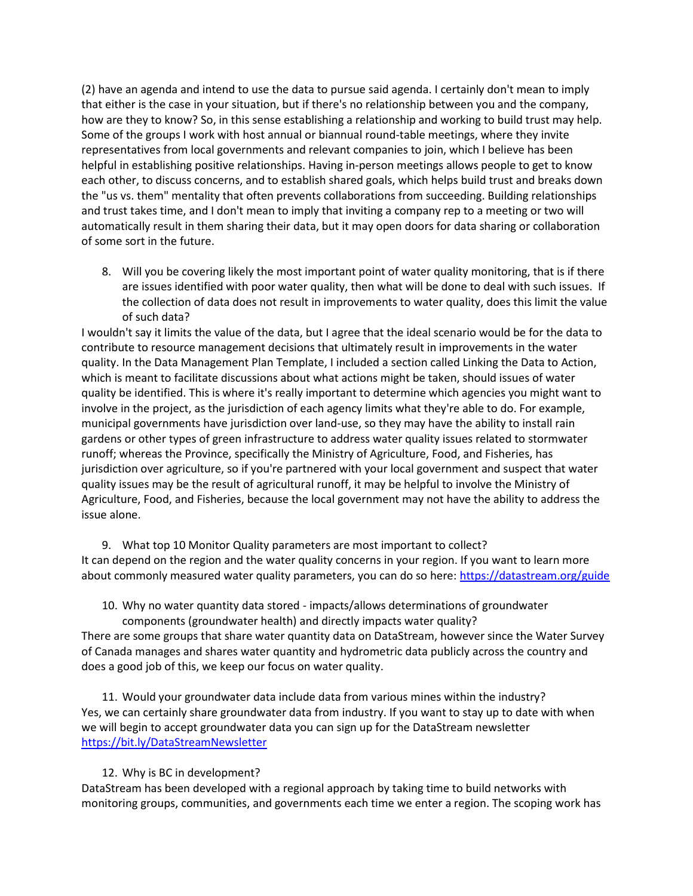(2) have an agenda and intend to use the data to pursue said agenda. I certainly don't mean to imply that either is the case in your situation, but if there's no relationship between you and the company, how are they to know? So, in this sense establishing a relationship and working to build trust may help. Some of the groups I work with host annual or biannual round-table meetings, where they invite representatives from local governments and relevant companies to join, which I believe has been helpful in establishing positive relationships. Having in-person meetings allows people to get to know each other, to discuss concerns, and to establish shared goals, which helps build trust and breaks down the "us vs. them" mentality that often prevents collaborations from succeeding. Building relationships and trust takes time, and I don't mean to imply that inviting a company rep to a meeting or two will automatically result in them sharing their data, but it may open doors for data sharing or collaboration of some sort in the future.

8. Will you be covering likely the most important point of water quality monitoring, that is if there are issues identified with poor water quality, then what will be done to deal with such issues. If the collection of data does not result in improvements to water quality, does this limit the value of such data?

I wouldn't say it limits the value of the data, but I agree that the ideal scenario would be for the data to contribute to resource management decisions that ultimately result in improvements in the water quality. In the Data Management Plan Template, I included a section called Linking the Data to Action, which is meant to facilitate discussions about what actions might be taken, should issues of water quality be identified. This is where it's really important to determine which agencies you might want to involve in the project, as the jurisdiction of each agency limits what they're able to do. For example, municipal governments have jurisdiction over land-use, so they may have the ability to install rain gardens or other types of green infrastructure to address water quality issues related to stormwater runoff; whereas the Province, specifically the Ministry of Agriculture, Food, and Fisheries, has jurisdiction over agriculture, so if you're partnered with your local government and suspect that water quality issues may be the result of agricultural runoff, it may be helpful to involve the Ministry of Agriculture, Food, and Fisheries, because the local government may not have the ability to address the issue alone.

9. What top 10 Monitor Quality parameters are most important to collect? It can depend on the region and the water quality concerns in your region. If you want to learn more about commonly measured water quality parameters, you can do so here:<https://datastream.org/guide>

10. Why no water quantity data stored - impacts/allows determinations of groundwater components (groundwater health) and directly impacts water quality?

There are some groups that share water quantity data on DataStream, however since the Water Survey of Canada manages and shares water quantity and hydrometric data publicly across the country and does a good job of this, we keep our focus on water quality.

11. Would your groundwater data include data from various mines within the industry? Yes, we can certainly share groundwater data from industry. If you want to stay up to date with when we will begin to accept groundwater data you can sign up for the DataStream newsletter <https://bit.ly/DataStreamNewsletter>

#### 12. Why is BC in development?

DataStream has been developed with a regional approach by taking time to build networks with monitoring groups, communities, and governments each time we enter a region. The scoping work has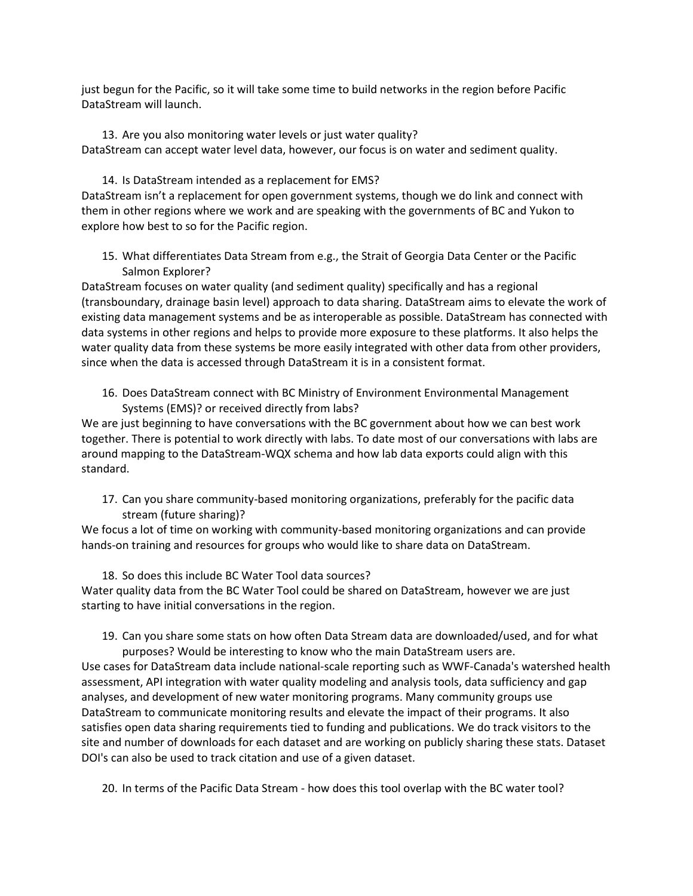just begun for the Pacific, so it will take some time to build networks in the region before Pacific DataStream will launch.

13. Are you also monitoring water levels or just water quality? DataStream can accept water level data, however, our focus is on water and sediment quality.

14. Is DataStream intended as a replacement for EMS? DataStream isn't a replacement for open government systems, though we do link and connect with them in other regions where we work and are speaking with the governments of BC and Yukon to explore how best to so for the Pacific region.

15. What differentiates Data Stream from e.g., the Strait of Georgia Data Center or the Pacific Salmon Explorer?

DataStream focuses on water quality (and sediment quality) specifically and has a regional (transboundary, drainage basin level) approach to data sharing. DataStream aims to elevate the work of existing data management systems and be as interoperable as possible. DataStream has connected with data systems in other regions and helps to provide more exposure to these platforms. It also helps the water quality data from these systems be more easily integrated with other data from other providers, since when the data is accessed through DataStream it is in a consistent format.

16. Does DataStream connect with BC Ministry of Environment Environmental Management Systems (EMS)? or received directly from labs?

We are just beginning to have conversations with the BC government about how we can best work together. There is potential to work directly with labs. To date most of our conversations with labs are around mapping to the DataStream-WQX schema and how lab data exports could align with this standard.

17. Can you share community-based monitoring organizations, preferably for the pacific data stream (future sharing)?

We focus a lot of time on working with community-based monitoring organizations and can provide hands-on training and resources for groups who would like to share data on DataStream.

18. So does this include BC Water Tool data sources?

Water quality data from the BC Water Tool could be shared on DataStream, however we are just starting to have initial conversations in the region.

19. Can you share some stats on how often Data Stream data are downloaded/used, and for what purposes? Would be interesting to know who the main DataStream users are.

Use cases for DataStream data include national-scale reporting such as WWF-Canada's watershed health assessment, API integration with water quality modeling and analysis tools, data sufficiency and gap analyses, and development of new water monitoring programs. Many community groups use DataStream to communicate monitoring results and elevate the impact of their programs. It also satisfies open data sharing requirements tied to funding and publications. We do track visitors to the site and number of downloads for each dataset and are working on publicly sharing these stats. Dataset DOI's can also be used to track citation and use of a given dataset.

20. In terms of the Pacific Data Stream - how does this tool overlap with the BC water tool?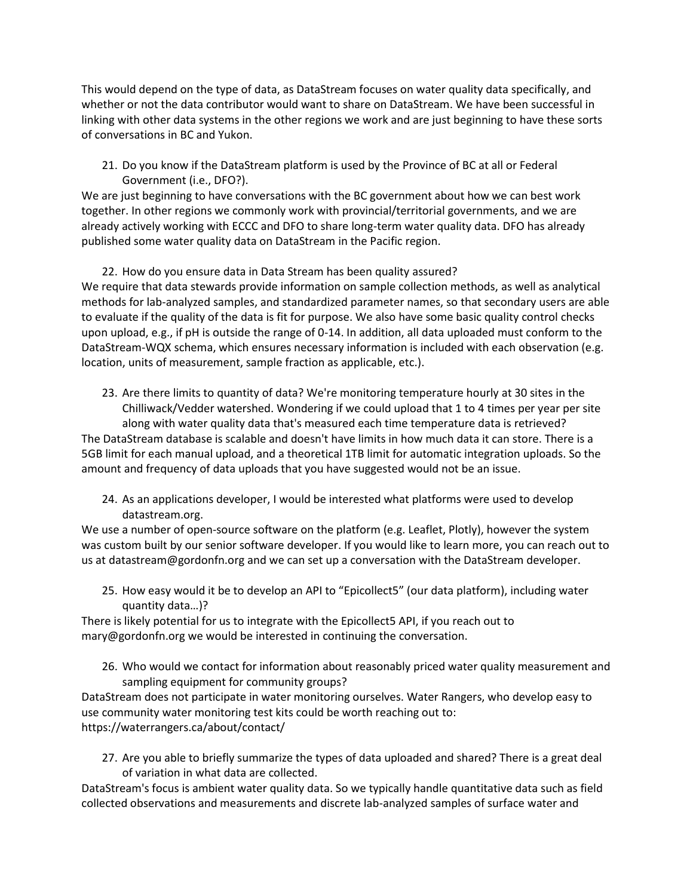This would depend on the type of data, as DataStream focuses on water quality data specifically, and whether or not the data contributor would want to share on DataStream. We have been successful in linking with other data systems in the other regions we work and are just beginning to have these sorts of conversations in BC and Yukon.

21. Do you know if the DataStream platform is used by the Province of BC at all or Federal Government (i.e., DFO?).

We are just beginning to have conversations with the BC government about how we can best work together. In other regions we commonly work with provincial/territorial governments, and we are already actively working with ECCC and DFO to share long-term water quality data. DFO has already published some water quality data on DataStream in the Pacific region.

### 22. How do you ensure data in Data Stream has been quality assured?

We require that data stewards provide information on sample collection methods, as well as analytical methods for lab-analyzed samples, and standardized parameter names, so that secondary users are able to evaluate if the quality of the data is fit for purpose. We also have some basic quality control checks upon upload, e.g., if pH is outside the range of 0-14. In addition, all data uploaded must conform to the DataStream-WQX schema, which ensures necessary information is included with each observation (e.g. location, units of measurement, sample fraction as applicable, etc.).

23. Are there limits to quantity of data? We're monitoring temperature hourly at 30 sites in the Chilliwack/Vedder watershed. Wondering if we could upload that 1 to 4 times per year per site along with water quality data that's measured each time temperature data is retrieved? The DataStream database is scalable and doesn't have limits in how much data it can store. There is a

5GB limit for each manual upload, and a theoretical 1TB limit for automatic integration uploads. So the amount and frequency of data uploads that you have suggested would not be an issue.

24. As an applications developer, I would be interested what platforms were used to develop datastream.org.

We use a number of open-source software on the platform (e.g. Leaflet, Plotly), however the system was custom built by our senior software developer. If you would like to learn more, you can reach out to us at datastream@gordonfn.org and we can set up a conversation with the DataStream developer.

25. How easy would it be to develop an API to "Epicollect5" (our data platform), including water quantity data…)?

There is likely potential for us to integrate with the Epicollect5 API, if you reach out to mary@gordonfn.org we would be interested in continuing the conversation.

26. Who would we contact for information about reasonably priced water quality measurement and sampling equipment for community groups?

DataStream does not participate in water monitoring ourselves. Water Rangers, who develop easy to use community water monitoring test kits could be worth reaching out to: https://waterrangers.ca/about/contact/

27. Are you able to briefly summarize the types of data uploaded and shared? There is a great deal of variation in what data are collected.

DataStream's focus is ambient water quality data. So we typically handle quantitative data such as field collected observations and measurements and discrete lab-analyzed samples of surface water and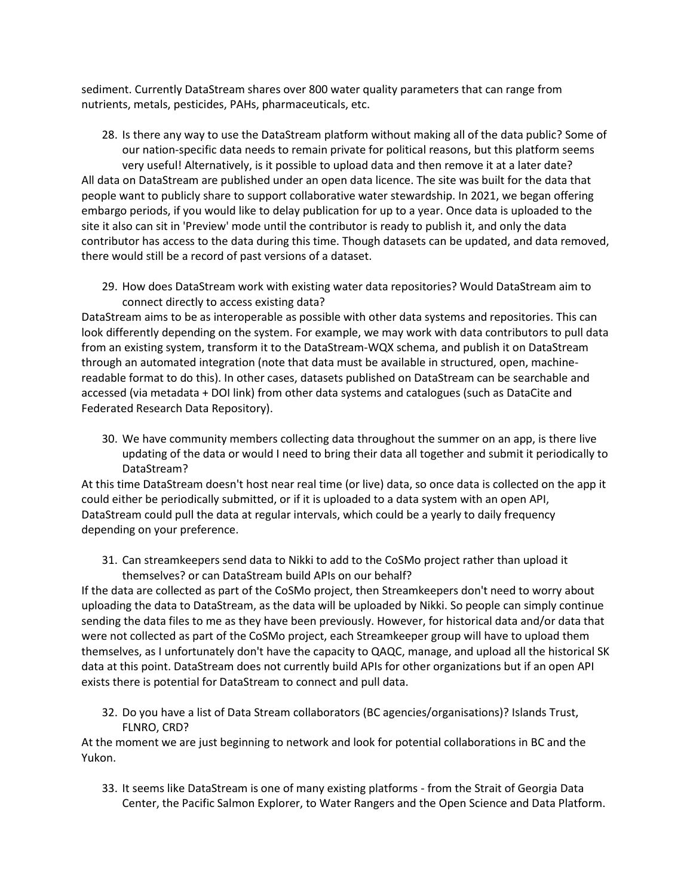sediment. Currently DataStream shares over 800 water quality parameters that can range from nutrients, metals, pesticides, PAHs, pharmaceuticals, etc.

- 28. Is there any way to use the DataStream platform without making all of the data public? Some of our nation-specific data needs to remain private for political reasons, but this platform seems very useful! Alternatively, is it possible to upload data and then remove it at a later date? All data on DataStream are published under an open data licence. The site was built for the data that people want to publicly share to support collaborative water stewardship. In 2021, we began offering embargo periods, if you would like to delay publication for up to a year. Once data is uploaded to the site it also can sit in 'Preview' mode until the contributor is ready to publish it, and only the data contributor has access to the data during this time. Though datasets can be updated, and data removed, there would still be a record of past versions of a dataset.
	- 29. How does DataStream work with existing water data repositories? Would DataStream aim to connect directly to access existing data?

DataStream aims to be as interoperable as possible with other data systems and repositories. This can look differently depending on the system. For example, we may work with data contributors to pull data from an existing system, transform it to the DataStream-WQX schema, and publish it on DataStream through an automated integration (note that data must be available in structured, open, machinereadable format to do this). In other cases, datasets published on DataStream can be searchable and accessed (via metadata + DOI link) from other data systems and catalogues (such as DataCite and Federated Research Data Repository).

30. We have community members collecting data throughout the summer on an app, is there live updating of the data or would I need to bring their data all together and submit it periodically to DataStream?

At this time DataStream doesn't host near real time (or live) data, so once data is collected on the app it could either be periodically submitted, or if it is uploaded to a data system with an open API, DataStream could pull the data at regular intervals, which could be a yearly to daily frequency depending on your preference.

31. Can streamkeepers send data to Nikki to add to the CoSMo project rather than upload it themselves? or can DataStream build APIs on our behalf?

If the data are collected as part of the CoSMo project, then Streamkeepers don't need to worry about uploading the data to DataStream, as the data will be uploaded by Nikki. So people can simply continue sending the data files to me as they have been previously. However, for historical data and/or data that were not collected as part of the CoSMo project, each Streamkeeper group will have to upload them themselves, as I unfortunately don't have the capacity to QAQC, manage, and upload all the historical SK data at this point. DataStream does not currently build APIs for other organizations but if an open API exists there is potential for DataStream to connect and pull data.

32. Do you have a list of Data Stream collaborators (BC agencies/organisations)? Islands Trust, FLNRO, CRD?

At the moment we are just beginning to network and look for potential collaborations in BC and the Yukon.

33. It seems like DataStream is one of many existing platforms - from the Strait of Georgia Data Center, the Pacific Salmon Explorer, to Water Rangers and the Open Science and Data Platform.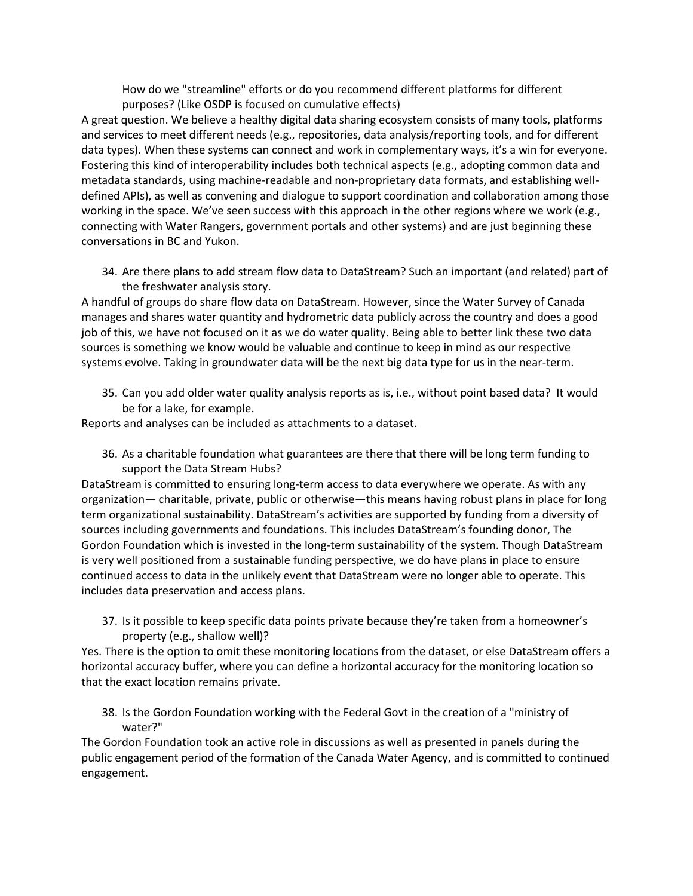How do we "streamline" efforts or do you recommend different platforms for different purposes? (Like OSDP is focused on cumulative effects)

A great question. We believe a healthy digital data sharing ecosystem consists of many tools, platforms and services to meet different needs (e.g., repositories, data analysis/reporting tools, and for different data types). When these systems can connect and work in complementary ways, it's a win for everyone. Fostering this kind of interoperability includes both technical aspects (e.g., adopting common data and metadata standards, using machine-readable and non-proprietary data formats, and establishing welldefined APIs), as well as convening and dialogue to support coordination and collaboration among those working in the space. We've seen success with this approach in the other regions where we work (e.g., connecting with Water Rangers, government portals and other systems) and are just beginning these conversations in BC and Yukon.

34. Are there plans to add stream flow data to DataStream? Such an important (and related) part of the freshwater analysis story.

A handful of groups do share flow data on DataStream. However, since the Water Survey of Canada manages and shares water quantity and hydrometric data publicly across the country and does a good job of this, we have not focused on it as we do water quality. Being able to better link these two data sources is something we know would be valuable and continue to keep in mind as our respective systems evolve. Taking in groundwater data will be the next big data type for us in the near-term.

35. Can you add older water quality analysis reports as is, i.e., without point based data? It would be for a lake, for example.

Reports and analyses can be included as attachments to a dataset.

36. As a charitable foundation what guarantees are there that there will be long term funding to support the Data Stream Hubs?

DataStream is committed to ensuring long-term access to data everywhere we operate. As with any organization— charitable, private, public or otherwise—this means having robust plans in place for long term organizational sustainability. DataStream's activities are supported by funding from a diversity of sources including governments and foundations. This includes DataStream's founding donor, The Gordon Foundation which is invested in the long-term sustainability of the system. Though DataStream is very well positioned from a sustainable funding perspective, we do have plans in place to ensure continued access to data in the unlikely event that DataStream were no longer able to operate. This includes data preservation and access plans.

37. Is it possible to keep specific data points private because they're taken from a homeowner's property (e.g., shallow well)?

Yes. There is the option to omit these monitoring locations from the dataset, or else DataStream offers a horizontal accuracy buffer, where you can define a horizontal accuracy for the monitoring location so that the exact location remains private.

38. Is the Gordon Foundation working with the Federal Govt in the creation of a "ministry of water?"

The Gordon Foundation took an active role in discussions as well as presented in panels during the public engagement period of the formation of the Canada Water Agency, and is committed to continued engagement.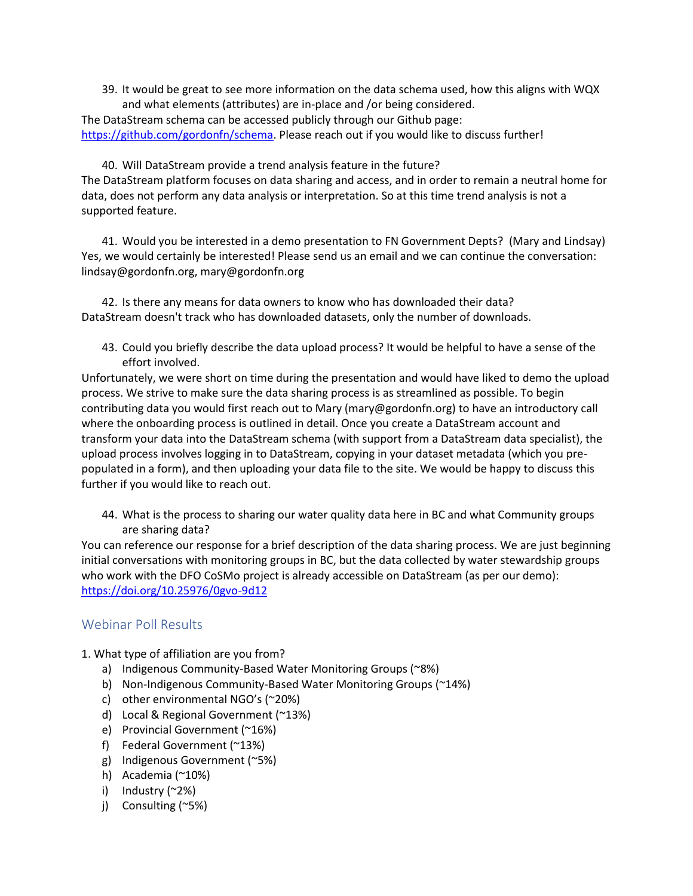39. It would be great to see more information on the data schema used, how this aligns with WQX and what elements (attributes) are in-place and /or being considered.

The DataStream schema can be accessed publicly through our Github page: [https://github.com/gordonfn/schema.](https://github.com/gordonfn/schema) Please reach out if you would like to discuss further!

40. Will DataStream provide a trend analysis feature in the future? The DataStream platform focuses on data sharing and access, and in order to remain a neutral home for data, does not perform any data analysis or interpretation. So at this time trend analysis is not a supported feature.

41. Would you be interested in a demo presentation to FN Government Depts? (Mary and Lindsay) Yes, we would certainly be interested! Please send us an email and we can continue the conversation: lindsay@gordonfn.org, mary@gordonfn.org

42. Is there any means for data owners to know who has downloaded their data? DataStream doesn't track who has downloaded datasets, only the number of downloads.

43. Could you briefly describe the data upload process? It would be helpful to have a sense of the effort involved.

Unfortunately, we were short on time during the presentation and would have liked to demo the upload process. We strive to make sure the data sharing process is as streamlined as possible. To begin contributing data you would first reach out to Mary (mary@gordonfn.org) to have an introductory call where the onboarding process is outlined in detail. Once you create a DataStream account and transform your data into the DataStream schema (with support from a DataStream data specialist), the upload process involves logging in to DataStream, copying in your dataset metadata (which you prepopulated in a form), and then uploading your data file to the site. We would be happy to discuss this further if you would like to reach out.

44. What is the process to sharing our water quality data here in BC and what Community groups are sharing data?

You can reference our response for a brief description of the data sharing process. We are just beginning initial conversations with monitoring groups in BC, but the data collected by water stewardship groups who work with the DFO CoSMo project is already accessible on DataStream (as per our demo): <https://doi.org/10.25976/0gvo-9d12>

# Webinar Poll Results

- 1. What type of affiliation are you from?
	- a) Indigenous Community-Based Water Monitoring Groups (~8%)
	- b) Non-Indigenous Community-Based Water Monitoring Groups (~14%)
	- c) other environmental NGO's (~20%)
	- d) Local & Regional Government (~13%)
	- e) Provincial Government (~16%)
	- f) Federal Government (~13%)
	- g) Indigenous Government (~5%)
	- h) Academia (~10%)
	- i) Industry (~2%)
	- j) Consulting (~5%)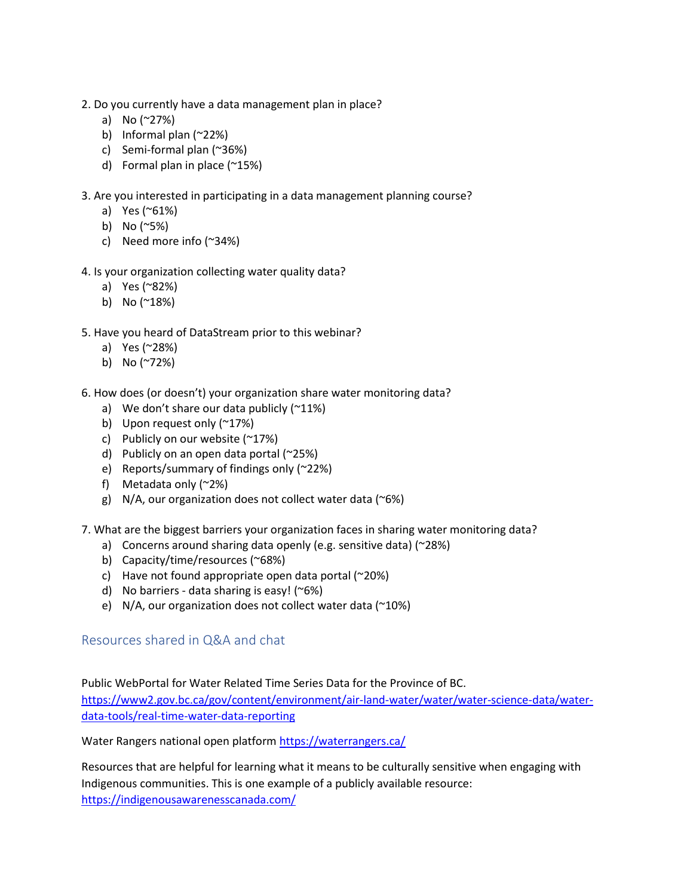- 2. Do you currently have a data management plan in place?
	- a) No (~27%)
	- b) Informal plan (~22%)
	- c) Semi-formal plan (~36%)
	- d) Formal plan in place (~15%)
- 3. Are you interested in participating in a data management planning course?
	- a) Yes (~61%)
	- b) No (~5%)
	- c) Need more info (~34%)
- 4. Is your organization collecting water quality data?
	- a) Yes (~82%)
	- b) No (~18%)
- 5. Have you heard of DataStream prior to this webinar?
	- a) Yes (~28%)
	- b) No (~72%)
- 6. How does (or doesn't) your organization share water monitoring data?
	- a) We don't share our data publicly  $(^{212})$
	- b) Upon request only (~17%)
	- c) Publicly on our website (~17%)
	- d) Publicly on an open data portal (~25%)
	- e) Reports/summary of findings only (~22%)
	- f) Metadata only (~2%)
	- g)  $N/A$ , our organization does not collect water data (~6%)
- 7. What are the biggest barriers your organization faces in sharing water monitoring data?
	- a) Concerns around sharing data openly (e.g. sensitive data) (~28%)
	- b) Capacity/time/resources (~68%)
	- c) Have not found appropriate open data portal  $(^{\sim}20\%)$
	- d) No barriers data sharing is easy! (~6%)
	- e) N/A, our organization does not collect water data  $(20\%)$

### Resources shared in Q&A and chat

Public WebPortal for Water Related Time Series Data for the Province of BC. [https://www2.gov.bc.ca/gov/content/environment/air-land-water/water/water-science-data/water](https://www2.gov.bc.ca/gov/content/environment/air-land-water/water/water-science-data/water-data-tools/real-time-water-data-reporting)[data-tools/real-time-water-data-reporting](https://www2.gov.bc.ca/gov/content/environment/air-land-water/water/water-science-data/water-data-tools/real-time-water-data-reporting)

Water Rangers national open platform<https://waterrangers.ca/>

Resources that are helpful for learning what it means to be culturally sensitive when engaging with Indigenous communities. This is one example of a publicly available resource: <https://indigenousawarenesscanada.com/>